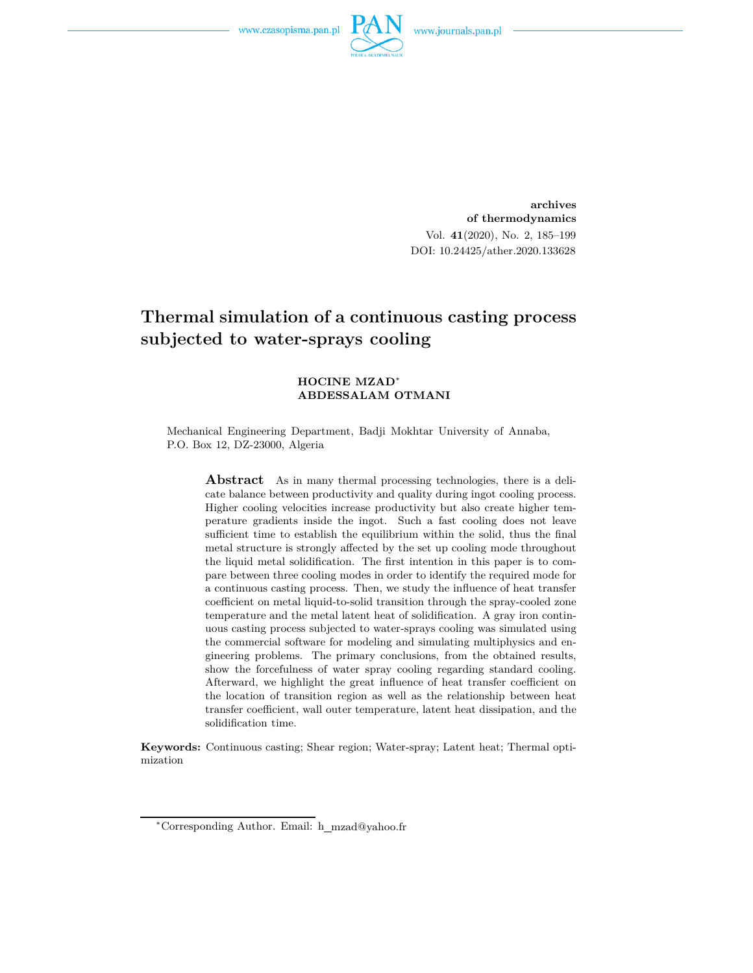

**archives of thermodynamics** Vol. **41**(2020), No. 2, 185–199 DOI: 10.24425/ather.2020.133628

# **Thermal simulation of a continuous casting process subjected to water-sprays cooling**

#### **HOCINE MZAD**<sup>∗</sup> **ABDESSALAM OTMANI**

Mechanical Engineering Department, Badji Mokhtar University of Annaba, P.O. Box 12, DZ-23000, Algeria

**Abstract** As in many thermal processing technologies, there is a delicate balance between productivity and quality during ingot cooling process. Higher cooling velocities increase productivity but also create higher temperature gradients inside the ingot. Such a fast cooling does not leave sufficient time to establish the equilibrium within the solid, thus the final metal structure is strongly affected by the set up cooling mode throughout the liquid metal solidification. The first intention in this paper is to compare between three cooling modes in order to identify the required mode for a continuous casting process. Then, we study the influence of heat transfer coefficient on metal liquid-to-solid transition through the spray-cooled zone temperature and the metal latent heat of solidification. A gray iron continuous casting process subjected to water-sprays cooling was simulated using the commercial software for modeling and simulating multiphysics and engineering problems. The primary conclusions, from the obtained results, show the forcefulness of water spray cooling regarding standard cooling. Afterward, we highlight the great influence of heat transfer coefficient on the location of transition region as well as the relationship between heat transfer coefficient, wall outer temperature, latent heat dissipation, and the solidification time.

**Keywords:** Continuous casting; Shear region; Water-spray; Latent heat; Thermal optimization

<sup>∗</sup>Corresponding Author. Email: h mzad@yahoo.fr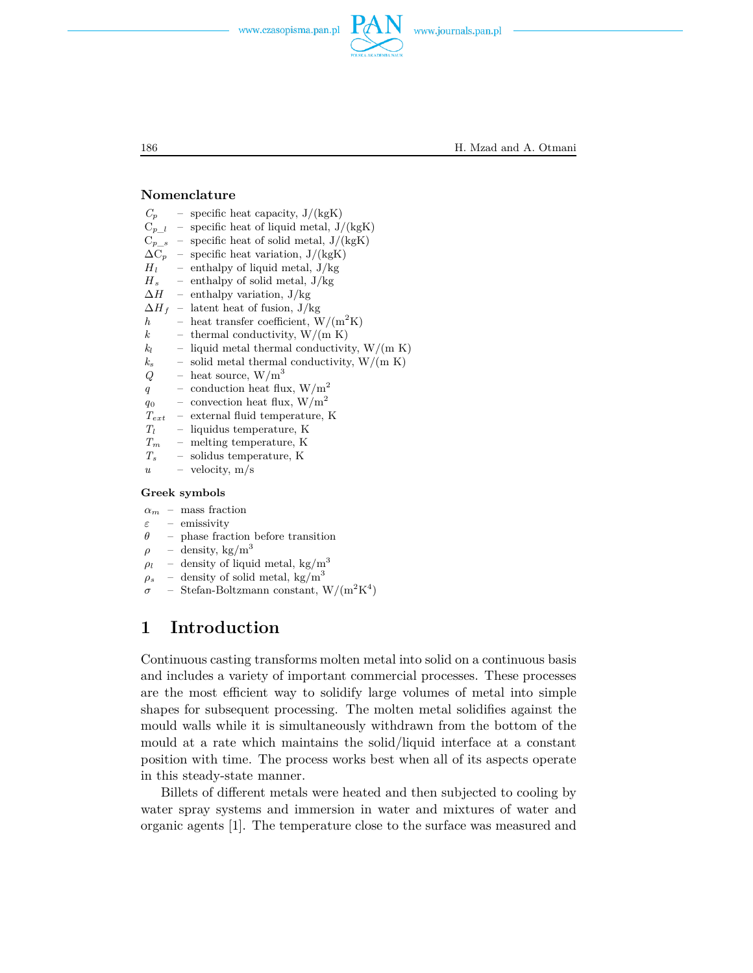

186 H. Mzad and A. Otmani

#### **Nomenclature**

| $C_p$                   | $-$ .                    | specific heat capacity, $J/(kgK)$                   |
|-------------------------|--------------------------|-----------------------------------------------------|
| $C_{p\_l}$ -            |                          | specific heat of liquid metal, $J/(kgK)$            |
| $C_{p - s}$ -           |                          | specific heat of solid metal, $J/(kgK)$             |
| $\Delta \mathrm{C}_p$ – |                          | specific heat variation, $J/(kgK)$                  |
|                         |                          | $H_l$ – enthalpy of liquid metal, $J/kg$            |
|                         |                          | $H_s$ – enthalpy of solid metal, $J/kg$             |
| $\Delta H$ –            |                          | enthalpy variation, $J/kg$                          |
| $\Delta H_{~f}$ –       |                          | latent heat of fusion, J/kg                         |
| $\hbar$                 |                          | - heat transfer coefficient, $W/(m^2K)$             |
| $\boldsymbol{k}$        |                          | - thermal conductivity, $W/(m K)$                   |
| $k_l$                   |                          | - liquid metal thermal conductivity, $W/(m K)$      |
|                         |                          | $k_s$ - solid metal thermal conductivity, $W/(m K)$ |
| Q                       |                          | - heat source, $W/m^3$                              |
| $q_{-}$                 |                          | - conduction heat flux, $W/m^2$                     |
| $q_0$                   |                          | - convection heat flux, $W/m^2$                     |
| $T_{ext}$               | $\overline{\phantom{a}}$ | external fluid temperature, K                       |
| $T_l$                   |                          | $-$ liquidus temperature, K                         |
|                         |                          | $T_m$ – melting temperature, K                      |
|                         |                          | $T_s$ - solidus temperature, K                      |
|                         |                          | $u -$ velocity, m/s                                 |
|                         |                          |                                                     |

### **Greek symbols**

 $\alpha_m$  – mass fraction

- *ε* emissivity
- *θ* phase fraction before transition
- $\rho$  density, kg/m<sup>3</sup>
- $\rho_l$  density of liquid metal, kg/m<sup>3</sup>
- $\rho_s$  density of solid metal, kg/m<sup>3</sup>
- $\sigma$  Stefan-Boltzmann constant,  $W/(m^2K^4)$

## **1 Introduction**

Continuous casting transforms molten metal into solid on a continuous basis and includes a variety of important commercial processes. These processes are the most efficient way to solidify large volumes of metal into simple shapes for subsequent processing. The molten metal solidifies against the mould walls while it is simultaneously withdrawn from the bottom of the mould at a rate which maintains the solid/liquid interface at a constant position with time. The process works best when all of its aspects operate in this steady-state manner.

Billets of different metals were heated and then subjected to cooling by water spray systems and immersion in water and mixtures of water and organic agents [1]. The temperature close to the surface was measured and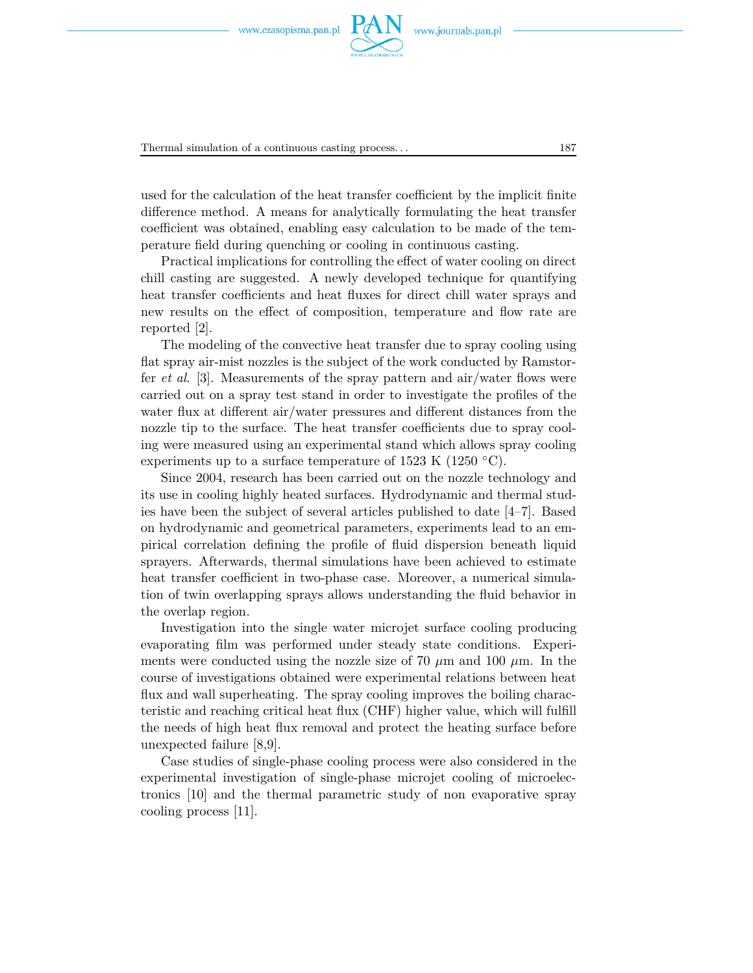

Thermal simulation of a continuous casting process. . . 187

used for the calculation of the heat transfer coefficient by the implicit finite difference method. A means for analytically formulating the heat transfer coefficient was obtained, enabling easy calculation to be made of the temperature field during quenching or cooling in continuous casting.

Practical implications for controlling the effect of water cooling on direct chill casting are suggested. A newly developed technique for quantifying heat transfer coefficients and heat fluxes for direct chill water sprays and new results on the effect of composition, temperature and flow rate are reported [2].

The modeling of the convective heat transfer due to spray cooling using flat spray air-mist nozzles is the subject of the work conducted by Ramstorfer *et al*. [3]. Measurements of the spray pattern and air/water flows were carried out on a spray test stand in order to investigate the profiles of the water flux at different air/water pressures and different distances from the nozzle tip to the surface. The heat transfer coefficients due to spray cooling were measured using an experimental stand which allows spray cooling experiments up to a surface temperature of 1523 K (1250  $\degree$ C).

Since 2004, research has been carried out on the nozzle technology and its use in cooling highly heated surfaces. Hydrodynamic and thermal studies have been the subject of several articles published to date [4–7]. Based on hydrodynamic and geometrical parameters, experiments lead to an empirical correlation defining the profile of fluid dispersion beneath liquid sprayers. Afterwards, thermal simulations have been achieved to estimate heat transfer coefficient in two-phase case. Moreover, a numerical simulation of twin overlapping sprays allows understanding the fluid behavior in the overlap region.

Investigation into the single water microjet surface cooling producing evaporating film was performed under steady state conditions. Experiments were conducted using the nozzle size of 70  $\mu$ m and 100  $\mu$ m. In the course of investigations obtained were experimental relations between heat flux and wall superheating. The spray cooling improves the boiling characteristic and reaching critical heat flux (CHF) higher value, which will fulfill the needs of high heat flux removal and protect the heating surface before unexpected failure [8,9].

Case studies of single-phase cooling process were also considered in the experimental investigation of single-phase microjet cooling of microelectronics [10] and the thermal parametric study of non evaporative spray cooling process [11].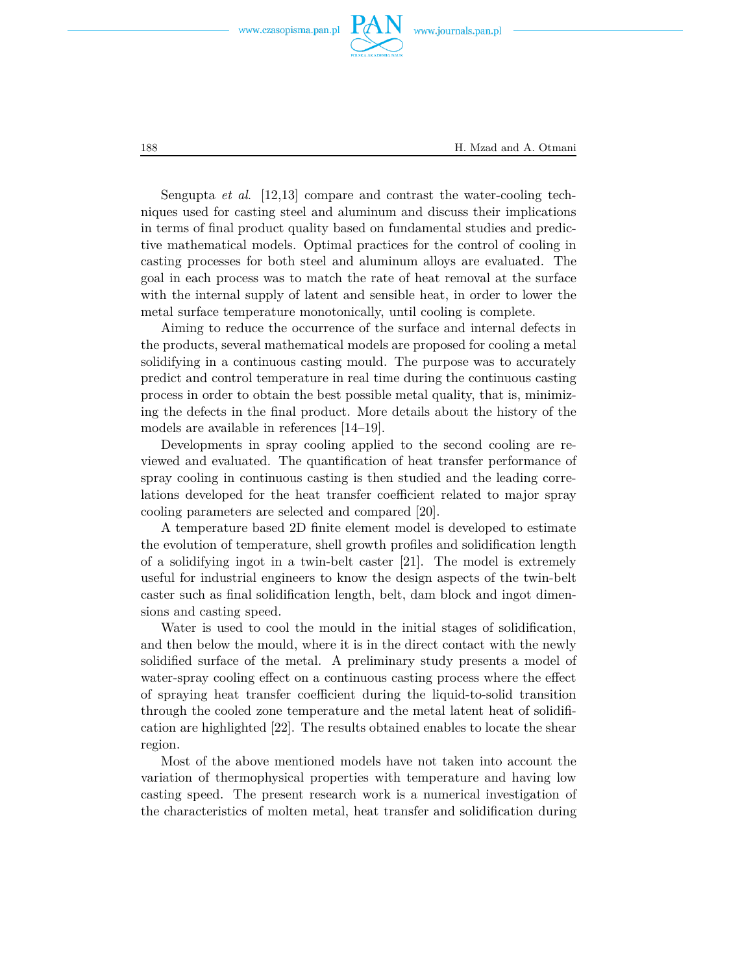



188 H. Mzad and A. Otmani

Sengupta *et al*. [12,13] compare and contrast the water-cooling techniques used for casting steel and aluminum and discuss their implications in terms of final product quality based on fundamental studies and predictive mathematical models. Optimal practices for the control of cooling in casting processes for both steel and aluminum alloys are evaluated. The goal in each process was to match the rate of heat removal at the surface with the internal supply of latent and sensible heat, in order to lower the metal surface temperature monotonically, until cooling is complete.

Aiming to reduce the occurrence of the surface and internal defects in the products, several mathematical models are proposed for cooling a metal solidifying in a continuous casting mould. The purpose was to accurately predict and control temperature in real time during the continuous casting process in order to obtain the best possible metal quality, that is, minimizing the defects in the final product. More details about the history of the models are available in references [14–19].

Developments in spray cooling applied to the second cooling are reviewed and evaluated. The quantification of heat transfer performance of spray cooling in continuous casting is then studied and the leading correlations developed for the heat transfer coefficient related to major spray cooling parameters are selected and compared [20].

A temperature based 2D finite element model is developed to estimate the evolution of temperature, shell growth profiles and solidification length of a solidifying ingot in a twin-belt caster [21]. The model is extremely useful for industrial engineers to know the design aspects of the twin-belt caster such as final solidification length, belt, dam block and ingot dimensions and casting speed.

Water is used to cool the mould in the initial stages of solidification, and then below the mould, where it is in the direct contact with the newly solidified surface of the metal. A preliminary study presents a model of water-spray cooling effect on a continuous casting process where the effect of spraying heat transfer coefficient during the liquid-to-solid transition through the cooled zone temperature and the metal latent heat of solidification are highlighted [22]. The results obtained enables to locate the shear region.

Most of the above mentioned models have not taken into account the variation of thermophysical properties with temperature and having low casting speed. The present research work is a numerical investigation of the characteristics of molten metal, heat transfer and solidification during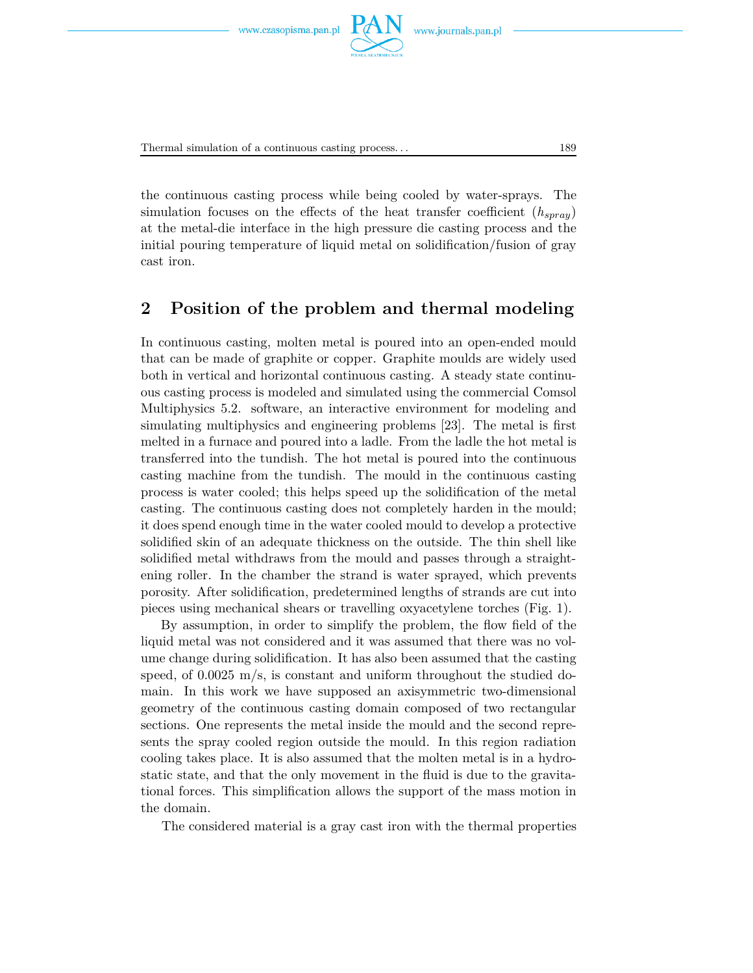



Thermal simulation of a continuous casting process. . . 189

the continuous casting process while being cooled by water-sprays. The simulation focuses on the effects of the heat transfer coefficient (*hspray*) at the metal-die interface in the high pressure die casting process and the initial pouring temperature of liquid metal on solidification/fusion of gray cast iron.

## **2 Position of the problem and thermal modeling**

In continuous casting, molten metal is poured into an open-ended mould that can be made of graphite or copper. Graphite moulds are widely used both in vertical and horizontal continuous casting. A steady state continuous casting process is modeled and simulated using the commercial Comsol Multiphysics 5.2. software, an interactive environment for modeling and simulating multiphysics and engineering problems [23]. The metal is first melted in a furnace and poured into a ladle. From the ladle the hot metal is transferred into the tundish. The hot metal is poured into the continuous casting machine from the tundish. The mould in the continuous casting process is water cooled; this helps speed up the solidification of the metal casting. The continuous casting does not completely harden in the mould; it does spend enough time in the water cooled mould to develop a protective solidified skin of an adequate thickness on the outside. The thin shell like solidified metal withdraws from the mould and passes through a straightening roller. In the chamber the strand is water sprayed, which prevents porosity. After solidification, predetermined lengths of strands are cut into pieces using mechanical shears or travelling oxyacetylene torches (Fig. 1).

By assumption, in order to simplify the problem, the flow field of the liquid metal was not considered and it was assumed that there was no volume change during solidification. It has also been assumed that the casting speed, of 0.0025 m/s, is constant and uniform throughout the studied domain. In this work we have supposed an axisymmetric two-dimensional geometry of the continuous casting domain composed of two rectangular sections. One represents the metal inside the mould and the second represents the spray cooled region outside the mould. In this region radiation cooling takes place. It is also assumed that the molten metal is in a hydrostatic state, and that the only movement in the fluid is due to the gravitational forces. This simplification allows the support of the mass motion in the domain.

The considered material is a gray cast iron with the thermal properties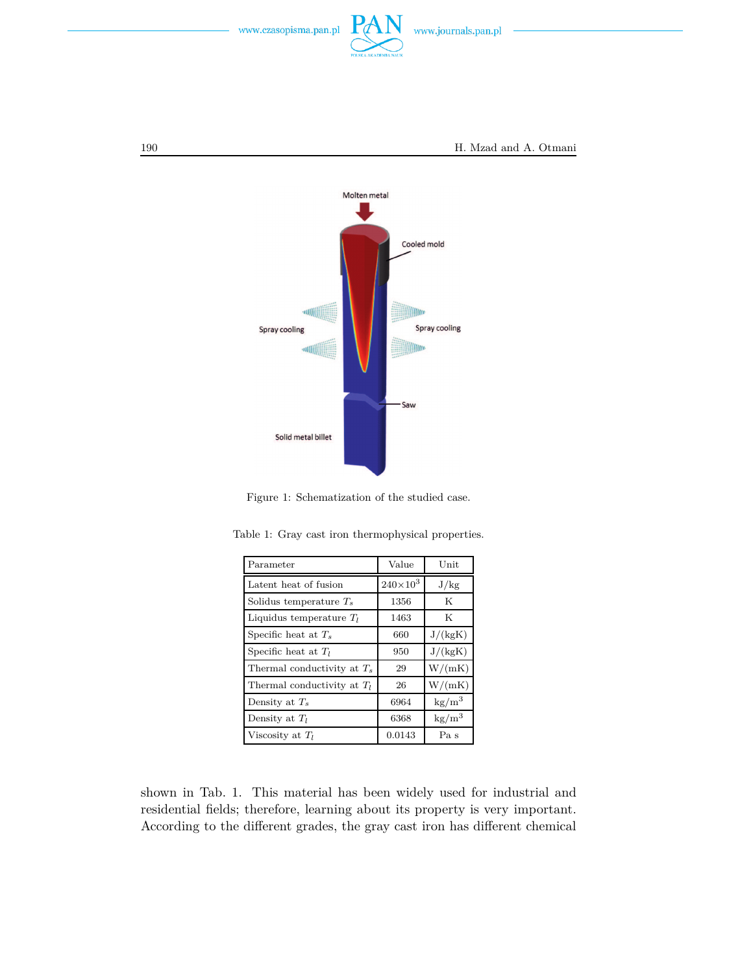



Figure 1: Schematization of the studied case.

| Parameter                     | Value             | Unit                   |
|-------------------------------|-------------------|------------------------|
| Latent heat of fusion         | $240\times10^{3}$ | J/kg                   |
| Solidus temperature $T_s$     | 1356              | K                      |
| Liquidus temperature $T_l$    | 1463              | K                      |
| Specific heat at $T_s$        | 660               | J/(kgK)                |
| Specific heat at $T_l$        | 950               | J/(kgK)                |
| Thermal conductivity at $T_s$ | 29                | W/(mK)                 |
| Thermal conductivity at $T_l$ | 26                | W/(mK)                 |
| Density at $T_s$              | 6964              | $\text{kg/m}^3$        |
| Density at $T_l$              | 6368              | $\text{kg}/\text{m}^3$ |
| Viscosity at $T_l$            | 0.0143            | Pa s                   |

Table 1: Gray cast iron thermophysical properties.

shown in Tab. 1. This material has been widely used for industrial and residential fields; therefore, learning about its property is very important. According to the different grades, the gray cast iron has different chemical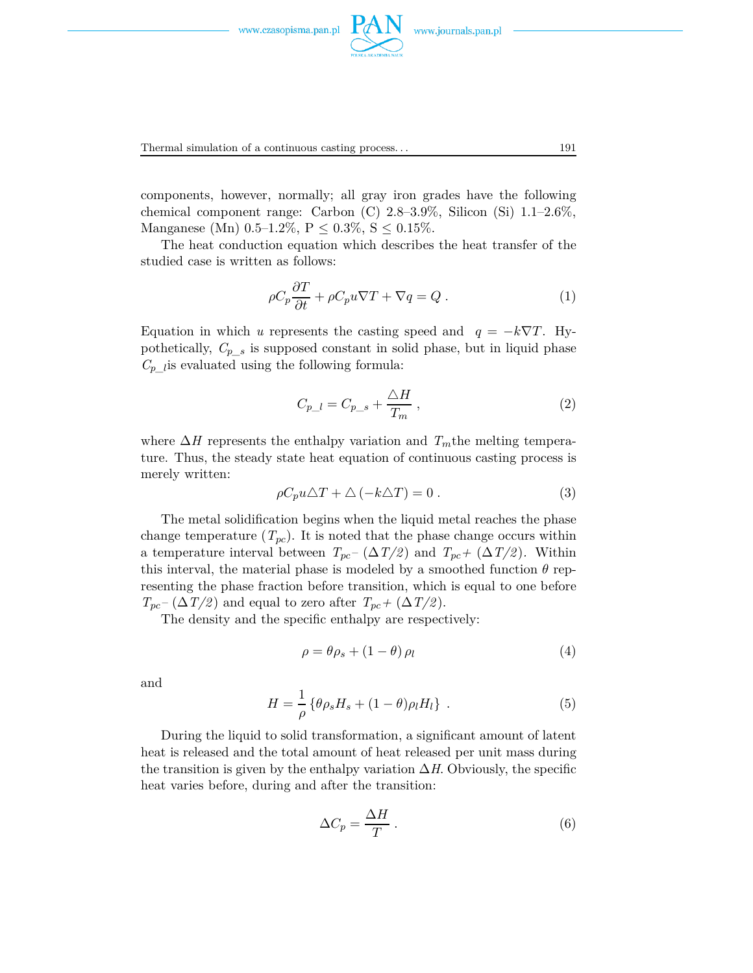

www.journals.pan.pl



Thermal simulation of a continuous casting process. . . 191

components, however, normally; all gray iron grades have the following chemical component range: Carbon  $(C)$  2.8–3.9%, Silicon  $(Si)$  1.1–2.6%, Manganese (Mn)  $0.5-1.2\%$ ,  $P \le 0.3\%$ ,  $S \le 0.15\%$ .

The heat conduction equation which describes the heat transfer of the studied case is written as follows:

$$
\rho C_p \frac{\partial T}{\partial t} + \rho C_p u \nabla T + \nabla q = Q.
$$
\n(1)

Equation in which *u* represents the casting speed and  $q = -k\nabla T$ . Hypothetically,  $C_{p,s}$  is supposed constant in solid phase, but in liquid phase  $C_{p_l}$  is evaluated using the following formula:

$$
C_{p\_l} = C_{p\_s} + \frac{\Delta H}{T_m} \,,\tag{2}
$$

where ∆*H* represents the enthalpy variation and *Tm*the melting temperature. Thus, the steady state heat equation of continuous casting process is merely written:

$$
\rho C_p u \triangle T + \triangle (-k \triangle T) = 0.
$$
 (3)

The metal solidification begins when the liquid metal reaches the phase change temperature  $(T_{pc})$ . It is noted that the phase change occurs within a temperature interval between  $T_{pc}$ <sup>-</sup> ( $\Delta T/2$ ) and  $T_{pc}$ <sup>+</sup> ( $\Delta T/2$ ). Within this interval, the material phase is modeled by a smoothed function  $\theta$  representing the phase fraction before transition, which is equal to one before  $T_{pc}$ <sup> $-$ </sup> ( $\Delta T/2$ ) and equal to zero after  $T_{pc}$  + ( $\Delta T/2$ ).

The density and the specific enthalpy are respectively:

$$
\rho = \theta \rho_s + (1 - \theta) \rho_l \tag{4}
$$

and

$$
H = \frac{1}{\rho} \left\{ \theta \rho_s H_s + (1 - \theta) \rho_l H_l \right\} \tag{5}
$$

During the liquid to solid transformation, a significant amount of latent heat is released and the total amount of heat released per unit mass during the transition is given by the enthalpy variation  $\Delta H$ . Obviously, the specific heat varies before, during and after the transition:

$$
\Delta C_p = \frac{\Delta H}{T} \,. \tag{6}
$$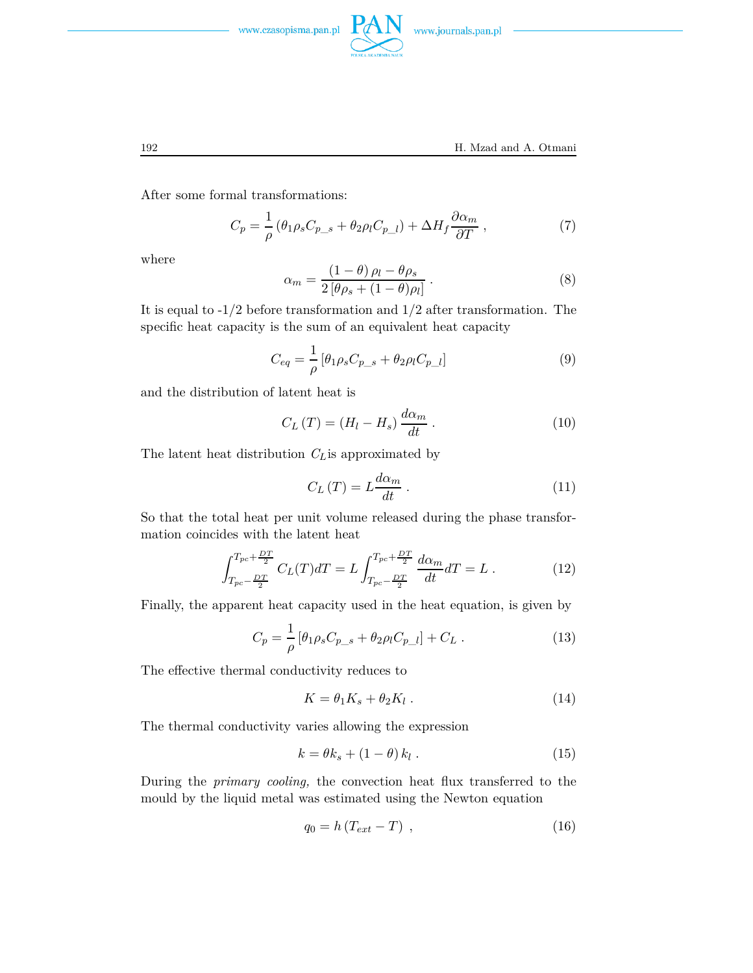

After some formal transformations:

$$
C_p = \frac{1}{\rho} \left( \theta_1 \rho_s C_{p\_s} + \theta_2 \rho_l C_{p\_l} \right) + \Delta H_f \frac{\partial \alpha_m}{\partial T} , \qquad (7)
$$

where

$$
\alpha_m = \frac{(1 - \theta)\,\rho_l - \theta\rho_s}{2\left[\theta\rho_s + (1 - \theta)\rho_l\right]} \,. \tag{8}
$$

It is equal to  $-1/2$  before transformation and  $1/2$  after transformation. The specific heat capacity is the sum of an equivalent heat capacity

$$
C_{eq} = \frac{1}{\rho} \left[ \theta_1 \rho_s C_{p\_s} + \theta_2 \rho_l C_{p\_l} \right]
$$
 (9)

and the distribution of latent heat is

$$
C_L(T) = (H_l - H_s) \frac{d\alpha_m}{dt} \,. \tag{10}
$$

The latent heat distribution *CL*is approximated by

$$
C_{L}\left(T\right) = L\frac{d\alpha_{m}}{dt} \,.
$$

So that the total heat per unit volume released during the phase transformation coincides with the latent heat

$$
\int_{T_{pc} - \frac{DT}{2}}^{T_{pc} + \frac{DT}{2}} C_L(T) dT = L \int_{T_{pc} - \frac{DT}{2}}^{T_{pc} + \frac{DT}{2}} \frac{d\alpha_m}{dt} dT = L .
$$
 (12)

Finally, the apparent heat capacity used in the heat equation, is given by

$$
C_p = \frac{1}{\rho} \left[ \theta_1 \rho_s C_{p\_s} + \theta_2 \rho_l C_{p\_l} \right] + C_L \,. \tag{13}
$$

The effective thermal conductivity reduces to

$$
K = \theta_1 K_s + \theta_2 K_l . \tag{14}
$$

The thermal conductivity varies allowing the expression

$$
k = \theta k_s + (1 - \theta) k_l . \qquad (15)
$$

During the *primary cooling,* the convection heat flux transferred to the mould by the liquid metal was estimated using the Newton equation

$$
q_0 = h \left( T_{ext} - T \right) , \qquad (16)
$$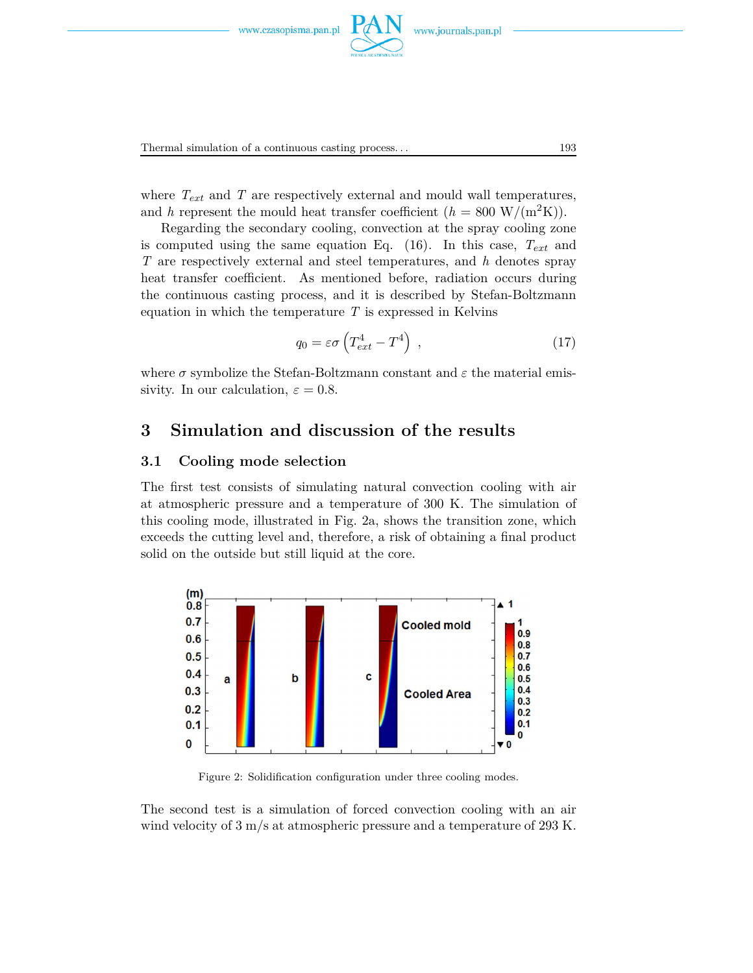

where  $T_{ext}$  and  $T$  are respectively external and mould wall temperatures, and *h* represent the mould heat transfer coefficient  $(h = 800 \text{ W}/(\text{m}^2 \text{K}))$ .

Regarding the secondary cooling, convection at the spray cooling zone is computed using the same equation Eq. (16). In this case, *Text* and *T* are respectively external and steel temperatures, and *h* denotes spray heat transfer coefficient. As mentioned before, radiation occurs during the continuous casting process, and it is described by Stefan-Boltzmann equation in which the temperature *T* is expressed in Kelvins

$$
q_0 = \varepsilon \sigma \left( T_{ext}^4 - T^4 \right) , \qquad (17)
$$

where  $\sigma$  symbolize the Stefan-Boltzmann constant and  $\varepsilon$  the material emissivity. In our calculation,  $\varepsilon = 0.8$ .

### **3 Simulation and discussion of the results**

### **3.1 Cooling mode selection**

The first test consists of simulating natural convection cooling with air at atmospheric pressure and a temperature of 300 K. The simulation of this cooling mode, illustrated in Fig. 2a, shows the transition zone, which exceeds the cutting level and, therefore, a risk of obtaining a final product solid on the outside but still liquid at the core.



Figure 2: Solidification configuration under three cooling modes.

The second test is a simulation of forced convection cooling with an air wind velocity of  $3 \text{ m/s}$  at atmospheric pressure and a temperature of 293 K.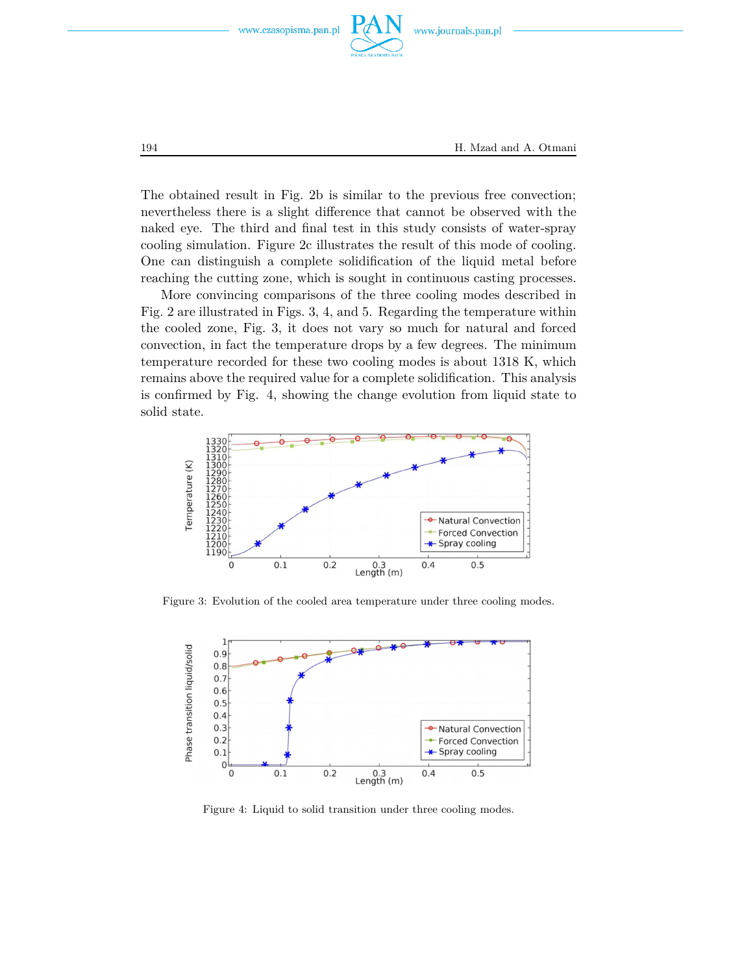

The obtained result in Fig. 2b is similar to the previous free convection; nevertheless there is a slight difference that cannot be observed with the naked eye. The third and final test in this study consists of water-spray cooling simulation. Figure 2c illustrates the result of this mode of cooling. One can distinguish a complete solidification of the liquid metal before reaching the cutting zone, which is sought in continuous casting processes.

More convincing comparisons of the three cooling modes described in Fig. 2 are illustrated in Figs. 3, 4, and 5. Regarding the temperature within the cooled zone, Fig. 3, it does not vary so much for natural and forced convection, in fact the temperature drops by a few degrees. The minimum temperature recorded for these two cooling modes is about 1318 K, which remains above the required value for a complete solidification. This analysis is confirmed by Fig. 4, showing the change evolution from liquid state to solid state.



Figure 3: Evolution of the cooled area temperature under three cooling modes.



Figure 4: Liquid to solid transition under three cooling modes.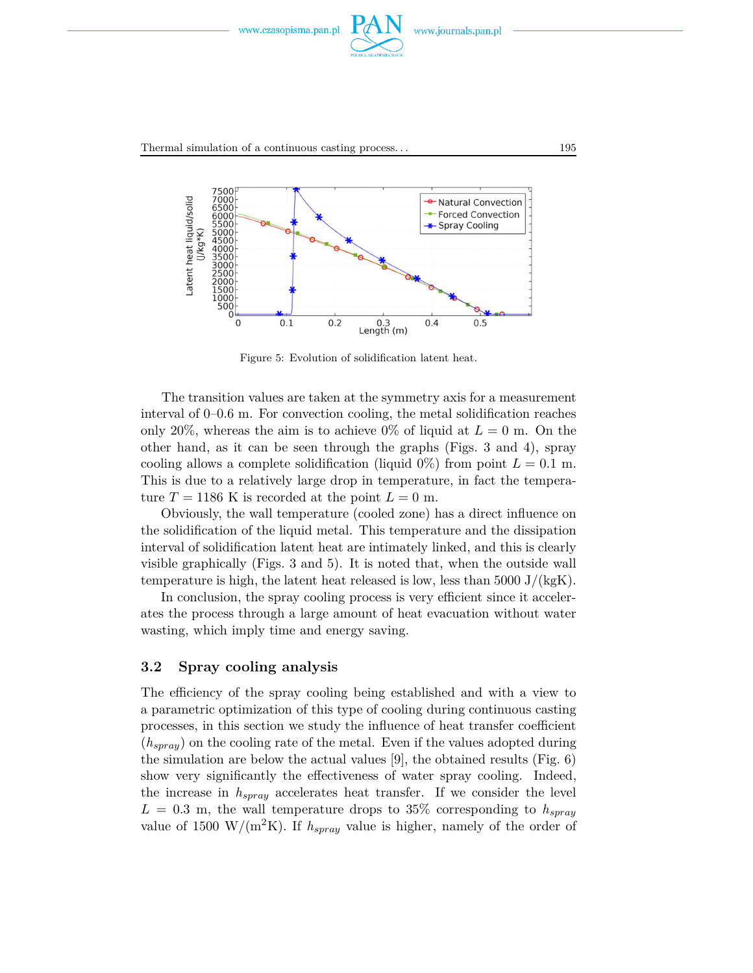



Figure 5: Evolution of solidification latent heat.

The transition values are taken at the symmetry axis for a measurement interval of 0–0.6 m. For convection cooling, the metal solidification reaches only 20%, whereas the aim is to achieve 0% of liquid at  $L = 0$  m. On the other hand, as it can be seen through the graphs (Figs. 3 and 4), spray cooling allows a complete solidification (liquid  $0\%$ ) from point  $L = 0.1$  m. This is due to a relatively large drop in temperature, in fact the temperature  $T = 1186$  K is recorded at the point  $L = 0$  m.

Obviously, the wall temperature (cooled zone) has a direct influence on the solidification of the liquid metal. This temperature and the dissipation interval of solidification latent heat are intimately linked, and this is clearly visible graphically (Figs. 3 and 5). It is noted that, when the outside wall temperature is high, the latent heat released is low, less than  $5000 \mathrm{J}/(\mathrm{kgK})$ .

In conclusion, the spray cooling process is very efficient since it accelerates the process through a large amount of heat evacuation without water wasting, which imply time and energy saving.

### **3.2 Spray cooling analysis**

The efficiency of the spray cooling being established and with a view to a parametric optimization of this type of cooling during continuous casting processes, in this section we study the influence of heat transfer coefficient (*hspray*) on the cooling rate of the metal. Even if the values adopted during the simulation are below the actual values [9], the obtained results (Fig. 6) show very significantly the effectiveness of water spray cooling. Indeed, the increase in *hspray* accelerates heat transfer. If we consider the level  $L = 0.3$  m, the wall temperature drops to 35% corresponding to  $h_{spray}$ value of 1500 W/( $m^2K$ ). If  $h_{spray}$  value is higher, namely of the order of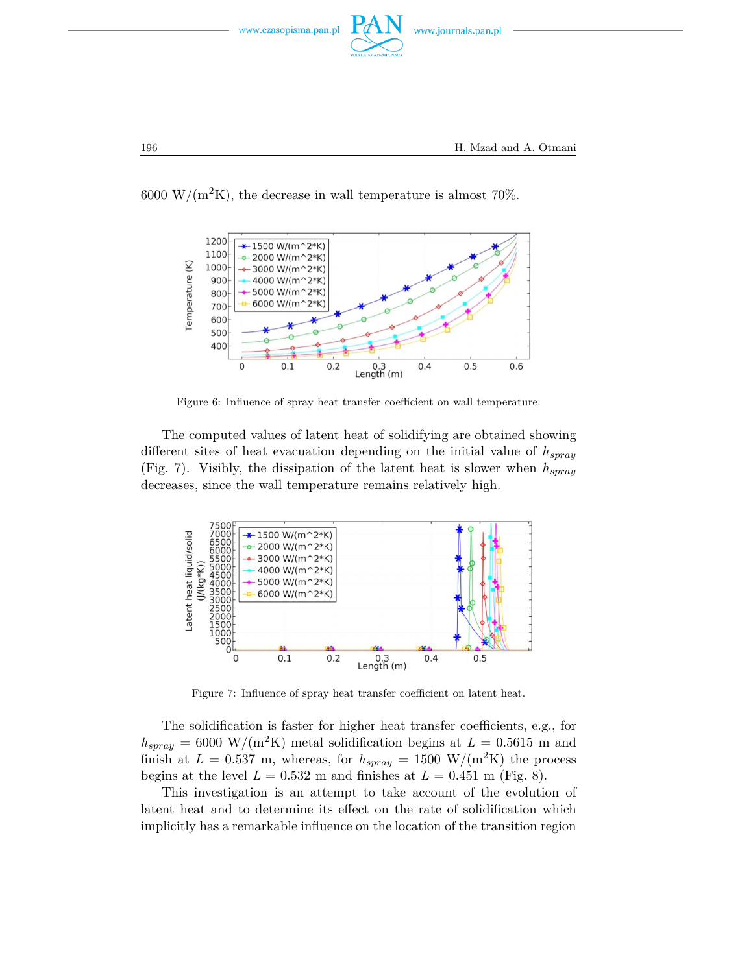



6000 W/( $m^2$ K), the decrease in wall temperature is almost 70%.

Figure 6: Influence of spray heat transfer coefficient on wall temperature.

The computed values of latent heat of solidifying are obtained showing different sites of heat evacuation depending on the initial value of *hspray* (Fig. 7). Visibly, the dissipation of the latent heat is slower when *hspray* decreases, since the wall temperature remains relatively high.



Figure 7: Influence of spray heat transfer coefficient on latent heat.

The solidification is faster for higher heat transfer coefficients, e.g., for  $h_{spray} = 6000 \text{ W/(m}^2\text{K)}$  metal solidification begins at  $L = 0.5615 \text{ m}$  and finish at  $L = 0.537$  m, whereas, for  $h_{spray} = 1500$  W/(m<sup>2</sup>K) the process begins at the level  $L = 0.532$  m and finishes at  $L = 0.451$  m (Fig. 8).

This investigation is an attempt to take account of the evolution of latent heat and to determine its effect on the rate of solidification which implicitly has a remarkable influence on the location of the transition region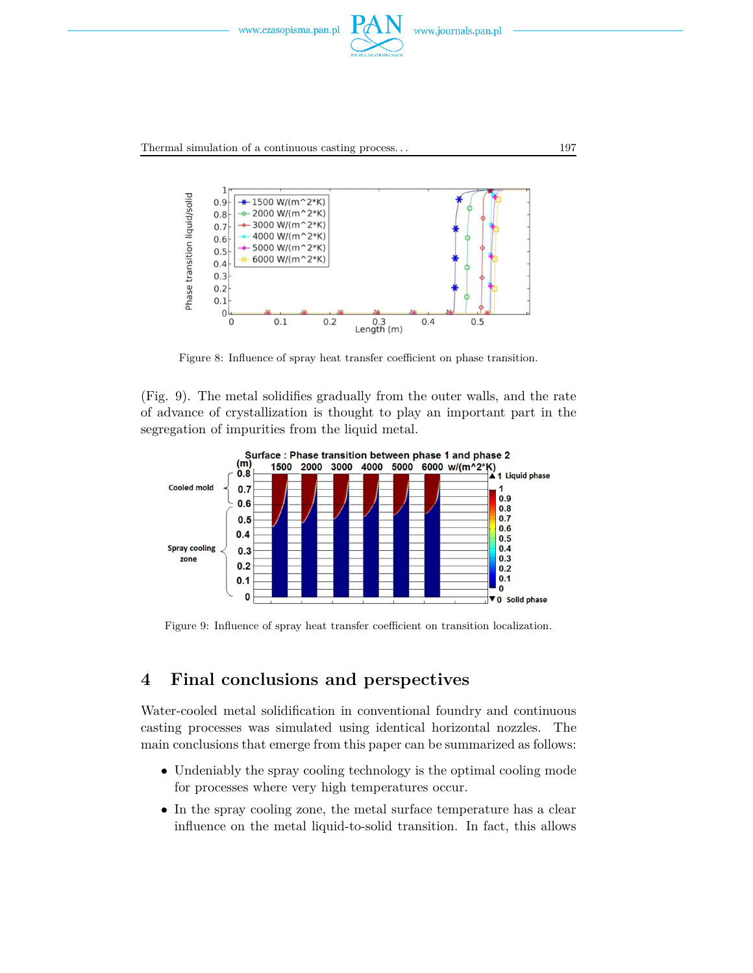



Figure 8: Influence of spray heat transfer coefficient on phase transition.

(Fig. 9). The metal solidifies gradually from the outer walls, and the rate of advance of crystallization is thought to play an important part in the segregation of impurities from the liquid metal.



Figure 9: Influence of spray heat transfer coefficient on transition localization.

## **4 Final conclusions and perspectives**

Water-cooled metal solidification in conventional foundry and continuous casting processes was simulated using identical horizontal nozzles. The main conclusions that emerge from this paper can be summarized as follows:

- Undeniably the spray cooling technology is the optimal cooling mode for processes where very high temperatures occur.
- In the spray cooling zone, the metal surface temperature has a clear influence on the metal liquid-to-solid transition. In fact, this allows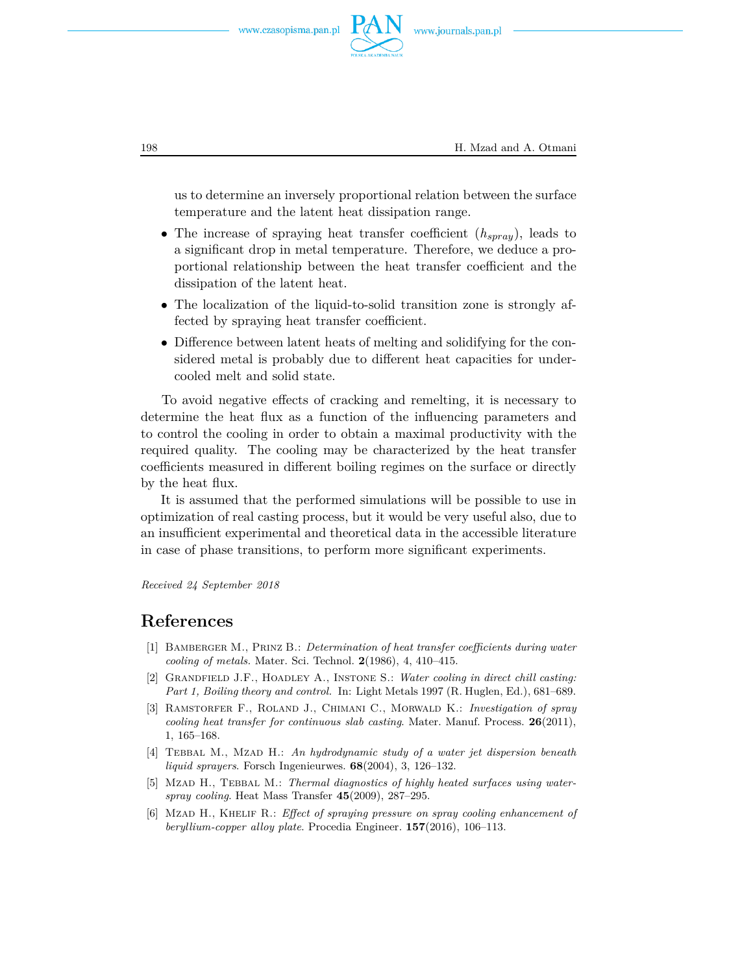



198 H. Mzad and A. Otmani

us to determine an inversely proportional relation between the surface temperature and the latent heat dissipation range.

- The increase of spraying heat transfer coefficient (*hspray*), leads to a significant drop in metal temperature. Therefore, we deduce a proportional relationship between the heat transfer coefficient and the dissipation of the latent heat.
- The localization of the liquid-to-solid transition zone is strongly affected by spraying heat transfer coefficient.
- Difference between latent heats of melting and solidifying for the considered metal is probably due to different heat capacities for undercooled melt and solid state.

To avoid negative effects of cracking and remelting, it is necessary to determine the heat flux as a function of the influencing parameters and to control the cooling in order to obtain a maximal productivity with the required quality. The cooling may be characterized by the heat transfer coefficients measured in different boiling regimes on the surface or directly by the heat flux.

It is assumed that the performed simulations will be possible to use in optimization of real casting process, but it would be very useful also, due to an insufficient experimental and theoretical data in the accessible literature in case of phase transitions, to perform more significant experiments.

*Received 24 September 2018*

### **References**

- [1] Bamberger M., Prinz B.: *Determination of heat transfer coefficients during water cooling of metals.* Mater. Sci. Technol. **2**(1986), 4, 410–415.
- [2] Grandfield J.F., Hoadley A., Instone S.: *Water cooling in direct chill casting: Part 1, Boiling theory and control.* In: Light Metals 1997 (R. Huglen, Ed.), 681–689.
- [3] Ramstorfer F., Roland J., Chimani C., Morwald K.: *Investigation of spray cooling heat transfer for continuous slab casting*. Mater. Manuf. Process. **26**(2011), 1, 165–168.
- [4] Tebbal M., Mzad H.: *An hydrodynamic study of a water jet dispersion beneath liquid sprayers*. Forsch Ingenieurwes. **68**(2004), 3, 126–132.
- [5] MzAD H., TEBBAL M.: *Thermal diagnostics of highly heated surfaces using waterspray cooling*. Heat Mass Transfer **45**(2009), 287–295.
- [6] Mzad H., Khelif R.: *Effect of spraying pressure on spray cooling enhancement of beryllium-copper alloy plate*. Procedia Engineer. **157**(2016), 106–113.